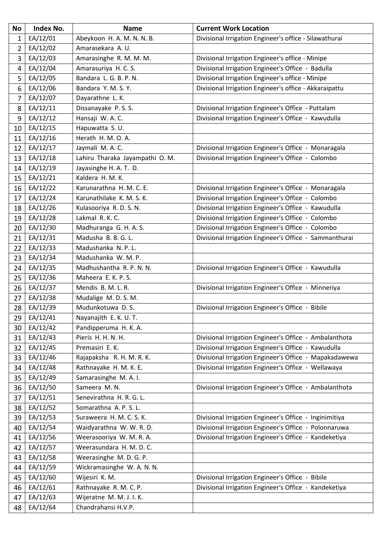| <b>No</b>      | <b>Index No.</b> | <b>Name</b>                    | <b>Current Work Location</b>                           |
|----------------|------------------|--------------------------------|--------------------------------------------------------|
| $\mathbf 1$    | EA/12/01         | Abeykoon H. A. M. N. N. B.     | Divisional Irrigation Engineer's office - Silawathurai |
| $\overline{2}$ | EA/12/02         | Amarasekara A. U.              |                                                        |
| 3              | EA/12/03         | Amarasinghe R. M. M. M.        | Divisional Irrigation Engineer's office - Minipe       |
| $\overline{4}$ | EA/12/04         | Amarasuriya H. C. S.           | Divisional Irrigation Engineer's Office - Badulla      |
| 5              | EA/12/05         | Bandara L. G. B. P. N.         | Divisional Irrigation Engineer's office - Minipe       |
| 6              | EA/12/06         | Bandara Y. M. S. Y.            | Divisional Irrigation Engineer's office - Akkaraipattu |
| $\overline{7}$ | EA/12/07         | Dayarathne L. K.               |                                                        |
| 8              | EA/12/11         | Dissanayake P.S.S.             | Divisional Irrigation Engineer's Office - Puttalam     |
| 9              | EA/12/12         | Hansaji W. A. C.               | Divisional Irrigation Engineer's Office - Kawudulla    |
| 10             | EA/12/15         | Hapuwatta S.U.                 |                                                        |
| 11             | EA/12/16         | Herath H. M. O. A.             |                                                        |
| 12             | EA/12/17         | Jaymali M. A. C.               | Divisional Irrigation Engineer's Office - Monaragala   |
| 13             | EA/12/18         | Lahiru Tharaka Jayampathi O.M. | Divisional Irrigation Engineer's Office - Colombo      |
| 14             | EA/12/19         | Jayasinghe H. A. T. D.         |                                                        |
| 15             | EA/12/21         | Kaldera H. M. K.               |                                                        |
| 16             | EA/12/22         | Karunarathna H. M. C. E.       | Divisional Irrigation Engineer's Office - Monaragala   |
| 17             | EA/12/24         | Karunathilake K. M. S. K.      | Divisional Irrigation Engineer's Office - Colombo      |
| 18             | EA/12/26         | Kulasooriya R.D.S.N.           | Divisional Irrigation Engineer's Office - Kawudulla    |
| 19             | EA/12/28         | Lakmal R. K. C.                | Divisional Irrigation Engineer's Office - Colombo      |
| 20             | EA/12/30         | Madhuranga G. H. A. S.         | Divisional Irrigation Engineer's Office - Colombo      |
| 21             | EA/12/31         | Madusha B. B. G. L.            | Divisional Irrigation Engineer's Office - Sammanthurai |
| 22             | EA/12/33         | Madushanka N. P. L.            |                                                        |
| 23             | EA/12/34         | Madushanka W. M. P.            |                                                        |
| 24             | EA/12/35         | Madhushantha R. P. N. N.       | Divisional Irrigation Engineer's Office - Kawudulla    |
| 25             | EA/12/36         | Maheera E.K.P.S.               |                                                        |
| 26             | EA/12/37         | Mendis B. M. L. R.             | Divisional Irrigation Engineer's Office - Minneriya    |
| 27             | EA/12/38         | Mudalige M.D.S.M.              |                                                        |
| 28             | EA/12/39         | Mudunkotuwa D.S.               | Divisional Irrigation Engineer's Office - Bibile       |
| 29             | EA/12/41         | Nayanajith E. K. U. T.         |                                                        |
| 30             | EA/12/42         | Pandipperuma H. K. A.          |                                                        |
| 31             | EA/12/43         | Pieris H. H. N. H.             | Divisional Irrigation Engineer's Office - Ambalanthota |
| 32             | EA/12/45         | Premasiri E. K.                | Divisional Irrigation Engineer's Office - Kawudulla    |
| 33             | EA/12/46         | Rajapaksha R. H. M. R. K.      | Divisional Irrigation Engineer's Office - Mapakadawewa |
| 34             | EA/12/48         | Rathnayake H. M. K. E.         | Divisional Irrigation Engineer's Office - Wellawaya    |
| 35             | EA/12/49         | Samarasinghe M.A.I.            |                                                        |
| 36             | EA/12/50         | Sameera M.N.                   | Divisional Irrigation Engineer's Office - Ambalanthota |
| 37             | EA/12/51         | Senevirathna H. R. G. L.       |                                                        |
| 38             | EA/12/52         | Somarathna A. P. S. L.         |                                                        |
| 39             | EA/12/53         | Suraweera H. M. C. S. K.       | Divisional Irrigation Engineer's Office - Inginimitiya |
| 40             | EA/12/54         | Waidyarathna W. W. R. D.       | Divisional Irrigation Engineer's Office - Polonnaruwa  |
| 41             | EA/12/56         | Weerasooriya W. M. R. A.       | Divisional Irrigation Engineer's Office - Kandeketiya  |
| 42             | EA/12/57         | Weerasundara H. M. D. C.       |                                                        |
| 43             | EA/12/58         | Weerasinghe M.D.G.P.           |                                                        |
| 44             | EA/12/59         | Wickramasinghe W. A. N. N.     |                                                        |
| 45             | EA/12/60         | Wijesiri K. M.                 | Divisional Irrigation Engineer's Office - Bibile       |
| 46             | EA/12/61         | Rathnayake R. M. C. P.         | Divisional Irrigation Engineer's Office - Kandeketiya  |
| 47             | EA/12/63         | Wijeratne M. M. J. I. K.       |                                                        |
| 48             | EA/12/64         | Chandrahansi H.V.P.            |                                                        |